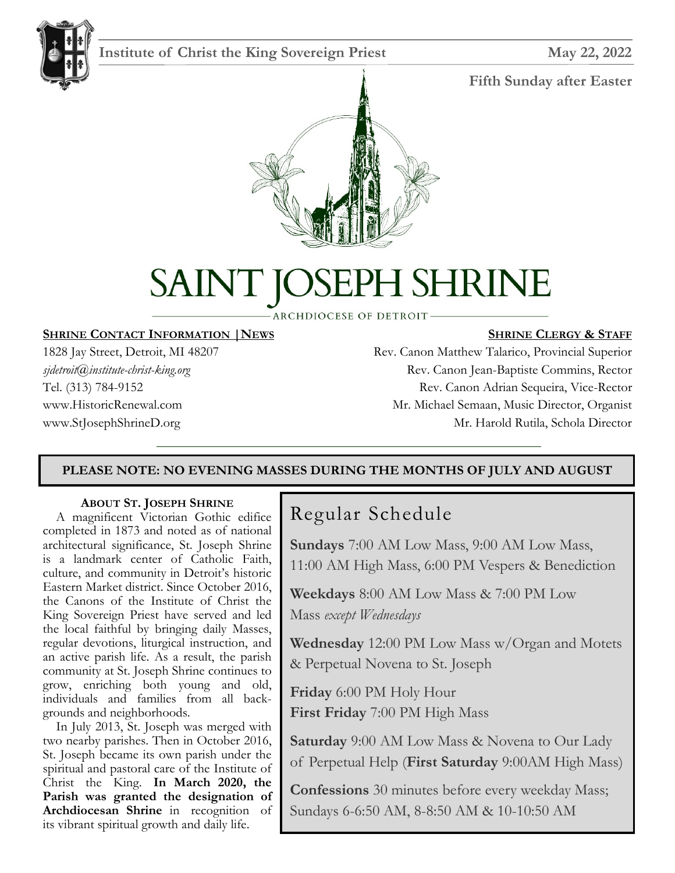

## **Institute of Christ the King Sovereign Priest May 22, 2022**

#### **Fifth Sunday after Easter**



# H SHRINE SAINT K

**ARCHDIOCESE OF DETROIT-**

#### **SHRINE CONTACT INFORMATION |NEWS**

1828 Jay Street, Detroit, MI 48207 *sjdetroit@institute-christ-king.org* Tel. (313) 784-9152 www.HistoricRenewal.com www.StJosephShrineD.org

#### **SHRINE CLERGY & STAFF**

Rev. Canon Matthew Talarico, Provincial Superior Rev. Canon Jean-Baptiste Commins, Rector Rev. Canon Adrian Sequeira, Vice-Rector Mr. Michael Semaan, Music Director, Organist Mr. Harold Rutila, Schola Director

#### **PLEASE NOTE: NO EVENING MASSES DURING THE MONTHS OF JULY AND AUGUST**

#### **ABOUT ST. JOSEPH SHRINE**

 A magnificent Victorian Gothic edifice completed in 1873 and noted as of national architectural significance, St. Joseph Shrine is a landmark center of Catholic Faith, culture, and community in Detroit's historic Eastern Market district. Since October 2016, the Canons of the Institute of Christ the King Sovereign Priest have served and led the local faithful by bringing daily Masses, regular devotions, liturgical instruction, and an active parish life. As a result, the parish community at St. Joseph Shrine continues to grow, enriching both young and old, individuals and families from all backgrounds and neighborhoods.

 In July 2013, St. Joseph was merged with two nearby parishes. Then in October 2016, St. Joseph became its own parish under the spiritual and pastoral care of the Institute of Christ the King. **In March 2020, the Parish was granted the designation of Archdiocesan Shrine** in recognition of its vibrant spiritual growth and daily life.

## Regular Schedule

**Sundays** 7:00 AM Low Mass, 9:00 AM Low Mass, 11:00 AM High Mass, 6:00 PM Vespers & Benediction

**Weekdays** 8:00 AM Low Mass & 7:00 PM Low Mass *except Wednesdays*

**Wednesday** 12:00 PM Low Mass w/Organ and Motets & Perpetual Novena to St. Joseph

**Friday** 6:00 PM Holy Hour **First Friday** 7:00 PM High Mass

**Saturday** 9:00 AM Low Mass & Novena to Our Lady of Perpetual Help (**First Saturday** 9:00AM High Mass)

**Confessions** 30 minutes before every weekday Mass; Sundays 6-6:50 AM, 8-8:50 AM & 10-10:50 AM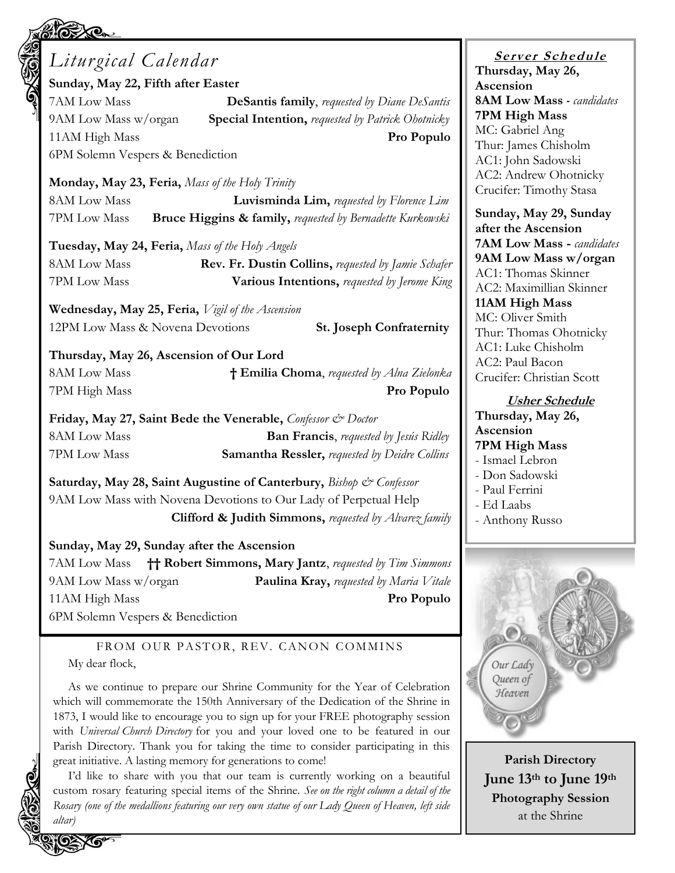# *Liturgical Calendar*

**Sunday, May 22, Fifth after Easter**

7AM Low Mass **DeSantis family**, *requested by Diane DeSantis* 9AM Low Mass w/organ **Special Intention,** *requested by Patrick Ohotnicky* 11AM High Mass **Pro Populo** 6PM Solemn Vespers & Benediction

**Monday, May 23, Feria,** *Mass of the Holy Trinity*

8AM Low Mass **Luvisminda Lim,** *requested by Florence Lim* 7PM Low Mass **Bruce Higgins & family,** *requested by Bernadette Kurkowski*

**Tuesday, May 24, Feria,** *Mass of the Holy Angels*

8AM Low Mass **Rev. Fr. Dustin Collins,** *requested by Jamie Schafer* 7PM Low Mass **Various Intentions,** *requested by Jerome King*

**Wednesday, May 25, Feria,** *Vigil of the Ascension* 12PM Low Mass & Novena Devotions **St. Joseph Confraternity**

**Thursday, May 26, Ascension of Our Lord** 8AM Low Mass **† Emilia Choma**, *requested by Alna Zielonka* 7PM High Mass **Pro Populo**

**Friday, May 27, Saint Bede the Venerable,** *Confessor & Doctor* 8AM Low Mass **Ban Francis**, *requested by Jesús Ridley* 7PM Low Mass **Samantha Ressler,** *requested by Deidre Collins*

**Saturday, May 28, Saint Augustine of Canterbury,** *Bishop & Confessor* 9AM Low Mass with Novena Devotions to Our Lady of Perpetual Help **Clifford & Judith Simmons,** *requested by Alvarez family*

#### **Sunday, May 29, Sunday after the Ascension**

7AM Low Mass **†† Robert Simmons, Mary Jantz**, *requested by Tim Simmons* 9AM Low Mass w/organ **Paulina Kray,** *requested by Maria Vitale* 11AM High Mass **Pro Populo**

6PM Solemn Vespers & Benediction

FROM OUR PASTOR, REV. CANON COMMINS My dear flock,

As we continue to prepare our Shrine Community for the Year of Celebration which will commemorate the 150th Anniversary of the Dedication of the Shrine in 1873, I would like to encourage you to sign up for your FREE photography session with *Universal Church Directory* for you and your loved one to be featured in our Parish Directory. Thank you for taking the time to consider participating in this great initiative. A lasting memory for generations to come!

I'd like to share with you that our team is currently working on a beautiful custom rosary featuring special items of the Shrine. *See on the right column a detail of the Rosary (one of the medallions featuring our very own statue of our Lady Queen of Heaven, left side altar)*

**<sup>S</sup> <sup>e</sup> rv er <sup>S</sup> <sup>c</sup> he du le Thursday, May 26, Ascension 8AM Low Mass -** *candidates* **7PM High Mass** MC: Gabriel Ang Thur: James Chisholm AC1: John Sadowski AC2: Andrew Ohotnicky Crucifer: Timothy Stasa

**Sunday, May 29, Sunday after the Ascension 7AM Low Mass -** *candidates* **9AM Low Mass w/organ** AC1: Thomas Skinner AC2: Maximillian Skinner **11AM High Mass** MC: Oliver Smith Thur: Thomas Ohotnicky AC1: Luke Chisholm AC2: Paul Bacon Crucifer: Christian Scott

#### **Usher Schedule**

**Thursday, May 26, Ascension 7PM High Mass** - Ismael Lebron - Don Sadowski

- Paul Ferrini
- Ed Laabs
- Anthony Russo



**Parish Directory June 13th to June 19th Photography Session** at the Shrine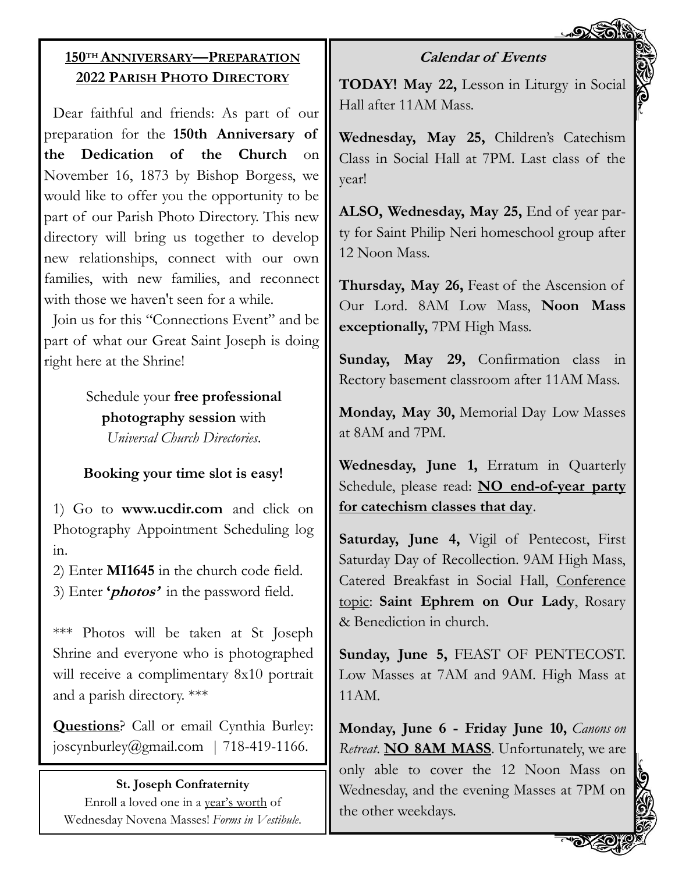

## **150TH ANNIVERSARY—PREPARATION 2022 PARISH PHOTO DIRECTORY**

Dear faithful and friends: As part of our preparation for the **150th Anniversary of the Dedication of the Church** on November 16, 1873 by Bishop Borgess, we would like to offer you the opportunity to be part of our Parish Photo Directory. This new directory will bring us together to develop new relationships, connect with our own families, with new families, and reconnect with those we haven't seen for a while.

Join us for this "Connections Event" and be part of what our Great Saint Joseph is doing right here at the Shrine!

> Schedule your **free professional photography session** with *Universal Church Directories*.

### **Booking your time slot is easy!**

1) Go to **www.ucdir.com** and click on Photography Appointment Scheduling log in.

2) Enter **MI1645** in the church code field. 3) Enter **'photos'** in the password field.

\*\*\* Photos will be taken at St Joseph Shrine and everyone who is photographed will receive a complimentary 8x10 portrait and a parish directory. \*\*\*

**Questions**? Call or email Cynthia Burley: joscynburley@gmail.com | 718-419-1166.

#### **St. Joseph Confraternity**

Enroll a loved one in a year's worth of Wednesday Novena Masses! *Forms in Vestibule*.

## **Calendar of Events**

**TODAY! May 22,** Lesson in Liturgy in Social Hall after 11AM Mass.

**Wednesday, May 25,** Children's Catechism Class in Social Hall at 7PM. Last class of the year!

**ALSO, Wednesday, May 25,** End of year party for Saint Philip Neri homeschool group after 12 Noon Mass.

**Thursday, May 26,** Feast of the Ascension of Our Lord. 8AM Low Mass, **Noon Mass exceptionally,** 7PM High Mass.

**Sunday, May 29,** Confirmation class in Rectory basement classroom after 11AM Mass.

**Monday, May 30,** Memorial Day Low Masses at 8AM and 7PM.

**Wednesday, June 1,** Erratum in Quarterly Schedule, please read: **NO end-of-year party for catechism classes that day**.

**Saturday, June 4,** Vigil of Pentecost, First Saturday Day of Recollection. 9AM High Mass, Catered Breakfast in Social Hall, Conference topic: **Saint Ephrem on Our Lady**, Rosary & Benediction in church.

**Sunday, June 5,** FEAST OF PENTECOST. Low Masses at 7AM and 9AM. High Mass at 11AM.

**Monday, June 6 - Friday June 10,** *Canons on Retreat*. **NO 8AM MASS**. Unfortunately, we are only able to cover the 12 Noon Mass on Wednesday, and the evening Masses at 7PM on the other weekdays.